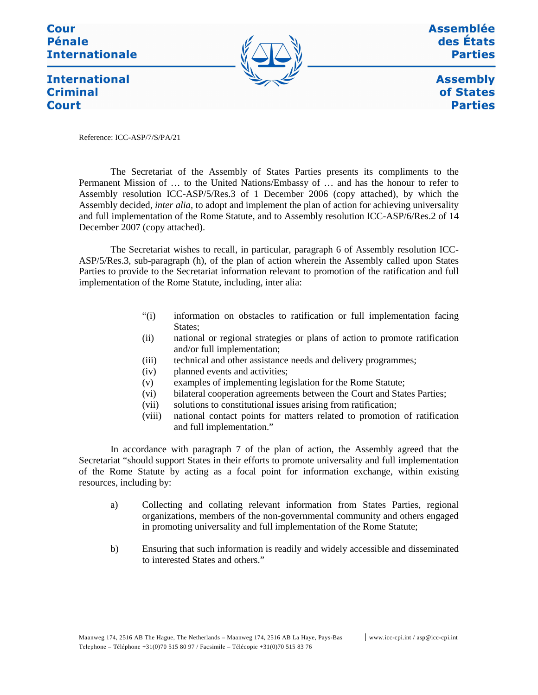Cour **Pénale Internationale** 



Assemblée des États **Parties** 

**International Criminal Court** 

**Assembly** of States **Parties** 

Reference: ICC-ASP/7/S/PA/21

The Secretariat of the Assembly of States Parties presents its compliments to the Permanent Mission of … to the United Nations/Embassy of … and has the honour to refer to Assembly resolution ICC-ASP/5/Res.3 of 1 December 2006 (copy attached), by which the Assembly decided, *inter alia,* to adopt and implement the plan of action for achieving universality and full implementation of the Rome Statute, and to Assembly resolution ICC-ASP/6/Res.2 of 14 December 2007 (copy attached).

The Secretariat wishes to recall, in particular, paragraph 6 of Assembly resolution ICC-ASP/5/Res.3, sub-paragraph (h), of the plan of action wherein the Assembly called upon States Parties to provide to the Secretariat information relevant to promotion of the ratification and full implementation of the Rome Statute, including, inter alia:

- "(i) information on obstacles to ratification or full implementation facing States;
- (ii) national or regional strategies or plans of action to promote ratification and/or full implementation;
- (iii) technical and other assistance needs and delivery programmes;
- (iv) planned events and activities;
- (v) examples of implementing legislation for the Rome Statute;
- (vi) bilateral cooperation agreements between the Court and States Parties;
- (vii) solutions to constitutional issues arising from ratification;
- (viii) national contact points for matters related to promotion of ratification and full implementation."

In accordance with paragraph 7 of the plan of action, the Assembly agreed that the Secretariat "should support States in their efforts to promote universality and full implementation of the Rome Statute by acting as a focal point for information exchange, within existing resources, including by:

- a) Collecting and collating relevant information from States Parties, regional organizations, members of the non-governmental community and others engaged in promoting universality and full implementation of the Rome Statute;
- b) Ensuring that such information is readily and widely accessible and disseminated to interested States and others."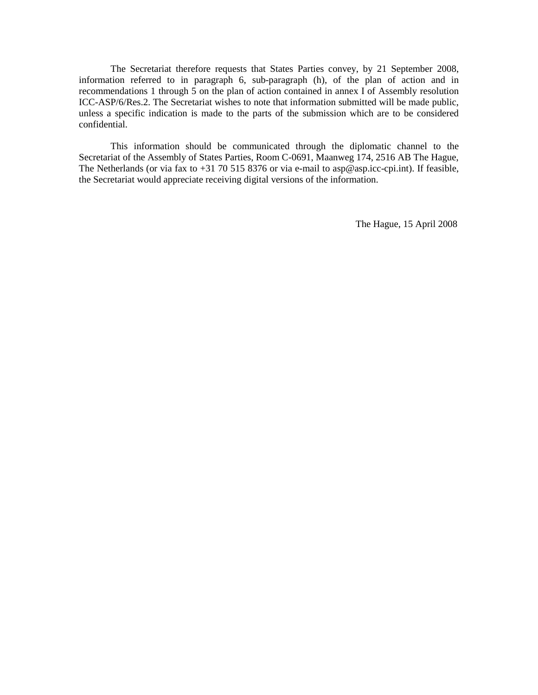The Secretariat therefore requests that States Parties convey, by 21 September 2008, information referred to in paragraph 6, sub-paragraph (h), of the plan of action and in recommendations 1 through 5 on the plan of action contained in annex I of Assembly resolution ICC-ASP/6/Res.2. The Secretariat wishes to note that information submitted will be made public, unless a specific indication is made to the parts of the submission which are to be considered confidential.

This information should be communicated through the diplomatic channel to the Secretariat of the Assembly of States Parties, Room C-0691, Maanweg 174, 2516 AB The Hague, The Netherlands (or via fax to +31 70 515 8376 or via e-mail to asp@asp.icc-cpi.int). If feasible, the Secretariat would appreciate receiving digital versions of the information.

The Hague, 15 April 2008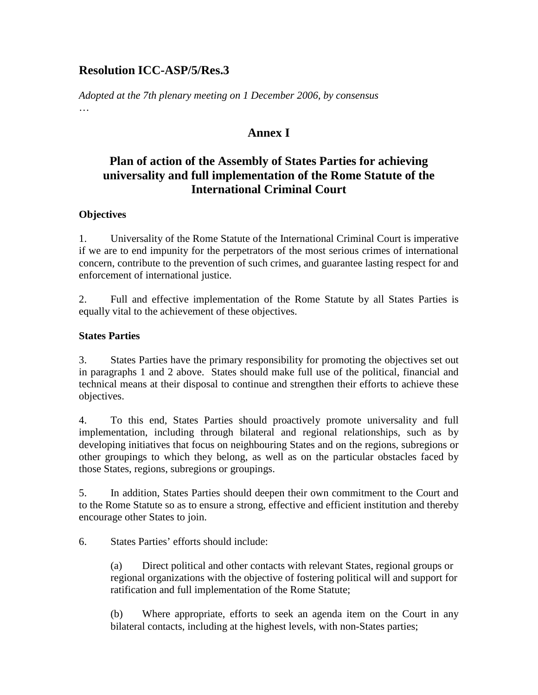## **Resolution ICC-ASP/5/Res.3**

*Adopted at the 7th plenary meeting on 1 December 2006, by consensus*  …

## **Annex I**

# **Plan of action of the Assembly of States Parties for achieving universality and full implementation of the Rome Statute of the International Criminal Court**

### **Objectives**

1. Universality of the Rome Statute of the International Criminal Court is imperative if we are to end impunity for the perpetrators of the most serious crimes of international concern, contribute to the prevention of such crimes, and guarantee lasting respect for and enforcement of international justice.

2. Full and effective implementation of the Rome Statute by all States Parties is equally vital to the achievement of these objectives.

### **States Parties**

3. States Parties have the primary responsibility for promoting the objectives set out in paragraphs 1 and 2 above. States should make full use of the political, financial and technical means at their disposal to continue and strengthen their efforts to achieve these objectives.

4. To this end, States Parties should proactively promote universality and full implementation, including through bilateral and regional relationships, such as by developing initiatives that focus on neighbouring States and on the regions, subregions or other groupings to which they belong, as well as on the particular obstacles faced by those States, regions, subregions or groupings.

5. In addition, States Parties should deepen their own commitment to the Court and to the Rome Statute so as to ensure a strong, effective and efficient institution and thereby encourage other States to join.

6. States Parties' efforts should include:

(a) Direct political and other contacts with relevant States, regional groups or regional organizations with the objective of fostering political will and support for ratification and full implementation of the Rome Statute;

(b) Where appropriate, efforts to seek an agenda item on the Court in any bilateral contacts, including at the highest levels, with non-States parties;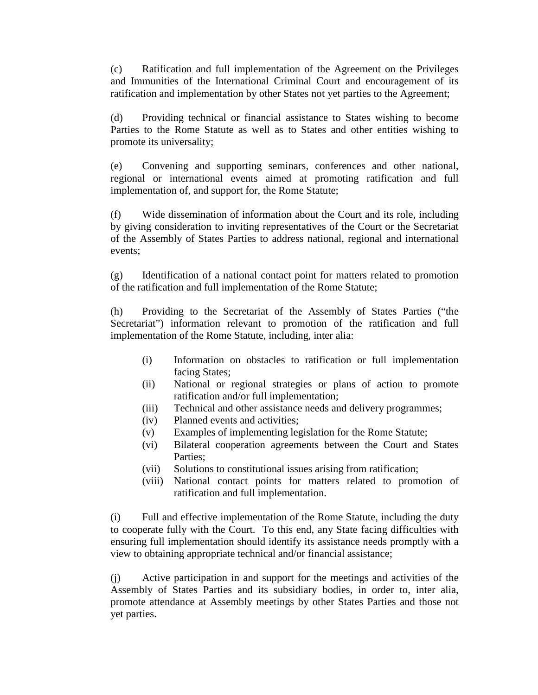(c) Ratification and full implementation of the Agreement on the Privileges and Immunities of the International Criminal Court and encouragement of its ratification and implementation by other States not yet parties to the Agreement;

(d) Providing technical or financial assistance to States wishing to become Parties to the Rome Statute as well as to States and other entities wishing to promote its universality;

(e) Convening and supporting seminars, conferences and other national, regional or international events aimed at promoting ratification and full implementation of, and support for, the Rome Statute;

(f) Wide dissemination of information about the Court and its role, including by giving consideration to inviting representatives of the Court or the Secretariat of the Assembly of States Parties to address national, regional and international events;

(g) Identification of a national contact point for matters related to promotion of the ratification and full implementation of the Rome Statute;

(h) Providing to the Secretariat of the Assembly of States Parties ("the Secretariat") information relevant to promotion of the ratification and full implementation of the Rome Statute, including, inter alia:

- (i) Information on obstacles to ratification or full implementation facing States;
- (ii) National or regional strategies or plans of action to promote ratification and/or full implementation;
- (iii) Technical and other assistance needs and delivery programmes;
- (iv) Planned events and activities;
- (v) Examples of implementing legislation for the Rome Statute;
- (vi) Bilateral cooperation agreements between the Court and States Parties;
- (vii) Solutions to constitutional issues arising from ratification;
- (viii) National contact points for matters related to promotion of ratification and full implementation.

(i) Full and effective implementation of the Rome Statute, including the duty to cooperate fully with the Court. To this end, any State facing difficulties with ensuring full implementation should identify its assistance needs promptly with a view to obtaining appropriate technical and/or financial assistance;

(j) Active participation in and support for the meetings and activities of the Assembly of States Parties and its subsidiary bodies, in order to, inter alia, promote attendance at Assembly meetings by other States Parties and those not yet parties.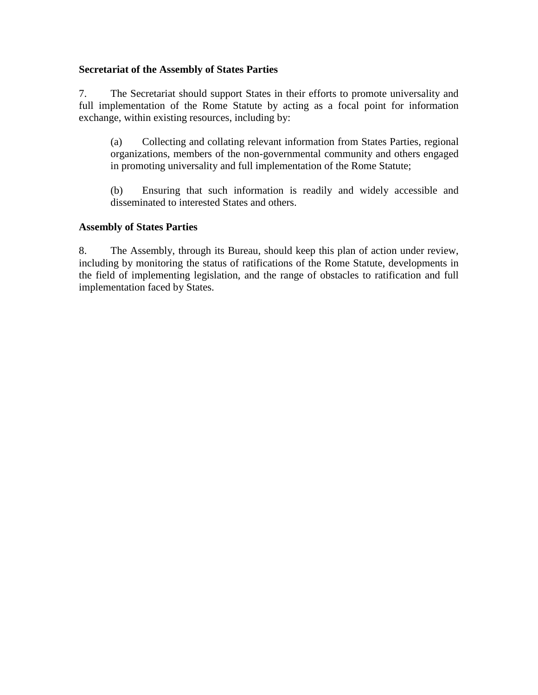#### **Secretariat of the Assembly of States Parties**

7. The Secretariat should support States in their efforts to promote universality and full implementation of the Rome Statute by acting as a focal point for information exchange, within existing resources, including by:

(a) Collecting and collating relevant information from States Parties, regional organizations, members of the non-governmental community and others engaged in promoting universality and full implementation of the Rome Statute;

(b) Ensuring that such information is readily and widely accessible and disseminated to interested States and others.

#### **Assembly of States Parties**

8. The Assembly, through its Bureau, should keep this plan of action under review, including by monitoring the status of ratifications of the Rome Statute, developments in the field of implementing legislation, and the range of obstacles to ratification and full implementation faced by States.